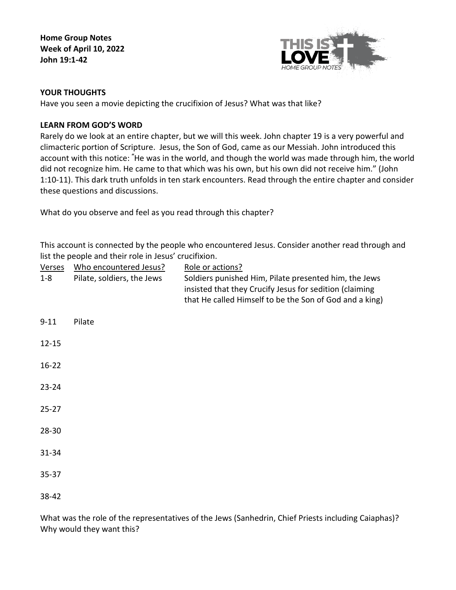**Home Group Notes Week of April 10, 2022 John 19:1-42**



## **YOUR THOUGHTS**

Have you seen a movie depicting the crucifixion of Jesus? What was that like?

# **LEARN FROM GOD'S WORD**

Rarely do we look at an entire chapter, but we will this week. John chapter 19 is a very powerful and climacteric portion of Scripture. Jesus, the Son of God, came as our Messiah. John introduced this account with this notice: **"** He was in the world, and though the world was made through him, the world did not recognize him. He came to that which was his own, but his own did not receive him." (John 1:10-11). This dark truth unfolds in ten stark encounters. Read through the entire chapter and consider these questions and discussions.

What do you observe and feel as you read through this chapter?

This account is connected by the people who encountered Jesus. Consider another read through and list the people and their role in Jesus' crucifixion.

| <b>Verses</b><br>$1 - 8$ | Who encountered Jesus?<br>Pilate, soldiers, the Jews | Role or actions?<br>Soldiers punished Him, Pilate presented him, the Jews<br>insisted that they Crucify Jesus for sedition (claiming<br>that He called Himself to be the Son of God and a king) |
|--------------------------|------------------------------------------------------|-------------------------------------------------------------------------------------------------------------------------------------------------------------------------------------------------|
| $9 - 11$                 | Pilate                                               |                                                                                                                                                                                                 |
| $12 - 15$                |                                                      |                                                                                                                                                                                                 |
| $16 - 22$                |                                                      |                                                                                                                                                                                                 |
| $23 - 24$                |                                                      |                                                                                                                                                                                                 |
| $25 - 27$                |                                                      |                                                                                                                                                                                                 |
| $28 - 30$                |                                                      |                                                                                                                                                                                                 |
| 31-34                    |                                                      |                                                                                                                                                                                                 |
| $35 - 37$                |                                                      |                                                                                                                                                                                                 |
| 38-42                    |                                                      |                                                                                                                                                                                                 |

What was the role of the representatives of the Jews (Sanhedrin, Chief Priests including Caiaphas)? Why would they want this?